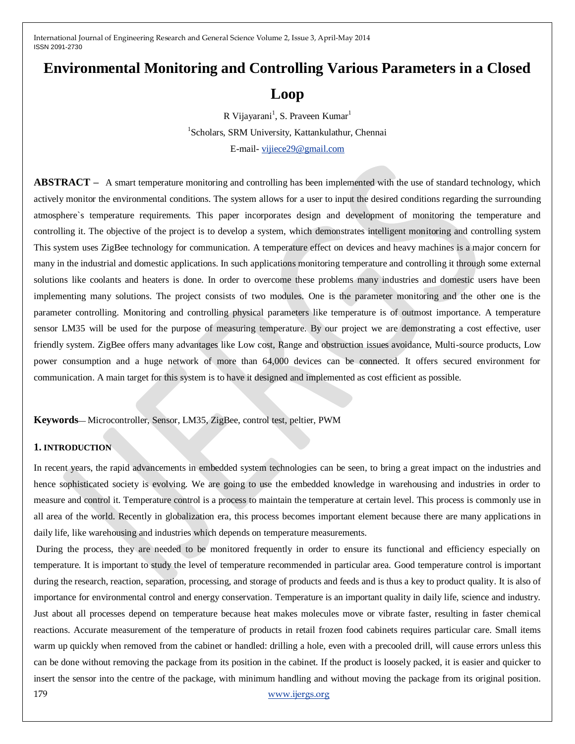# **Environmental Monitoring and Controlling Various Parameters in a Closed**

# **Loop**

R Vijayarani<sup>1</sup>, S. Praveen Kumar<sup>1</sup>

1 Scholars, SRM University, Kattankulathur, Chennai

E-mail- [vijiece29@gmail.com](mailto:vijiece29@gmail.com)

**ABSTRACT** – A smart temperature monitoring and controlling has been implemented with the use of standard technology, which actively monitor the environmental conditions. The system allows for a user to input the desired conditions regarding the surrounding atmosphere`s temperature requirements. This paper incorporates design and development of monitoring the temperature and controlling it. The objective of the project is to develop a system, which demonstrates intelligent monitoring and controlling system This system uses ZigBee technology for communication. A temperature effect on devices and heavy machines is a major concern for many in the industrial and domestic applications. In such applications monitoring temperature and controlling it through some external solutions like coolants and heaters is done. In order to overcome these problems many industries and domestic users have been implementing many solutions. The project consists of two modules. One is the parameter monitoring and the other one is the parameter controlling. Monitoring and controlling physical parameters like temperature is of outmost importance. A temperature sensor LM35 will be used for the purpose of measuring temperature. By our project we are demonstrating a cost effective, user friendly system. ZigBee offers many advantages like Low cost, Range and obstruction issues avoidance, Multi-source products, Low power consumption and a huge network of more than 64,000 devices can be connected. It offers secured environment for communication. A main target for this system is to have it designed and implemented as cost efficient as possible.

**Keywords—** Microcontroller, Sensor, LM35, ZigBee, control test, peltier, PWM

# **1. INTRODUCTION**

In recent years, the rapid advancements in embedded system technologies can be seen, to bring a great impact on the industries and hence sophisticated society is evolving. We are going to use the embedded knowledge in warehousing and industries in order to measure and control it. Temperature control is a process to maintain the temperature at certain level. This process is commonly use in all area of the world. Recently in globalization era, this process becomes important element because there are many applications in daily life, like warehousing and industries which depends on temperature measurements.

179 [www.ijergs.org](http://www.ijergs.org/) During the process, they are needed to be monitored frequently in order to ensure its functional and efficiency especially on temperature. It is important to study the level of temperature recommended in particular area. Good temperature control is important during the research, reaction, separation, processing, and storage of products and feeds and is thus a key to product quality. It is also of importance for environmental control and energy conservation. Temperature is an important quality in daily life, science and industry. Just about all processes depend on temperature because heat makes molecules move or vibrate faster, resulting in faster chemical reactions. Accurate measurement of the temperature of products in retail frozen food cabinets requires particular care. Small items warm up quickly when removed from the cabinet or handled: drilling a hole, even with a precooled drill, will cause errors unless this can be done without removing the package from its position in the cabinet. If the product is loosely packed, it is easier and quicker to insert the sensor into the centre of the package, with minimum handling and without moving the package from its original position.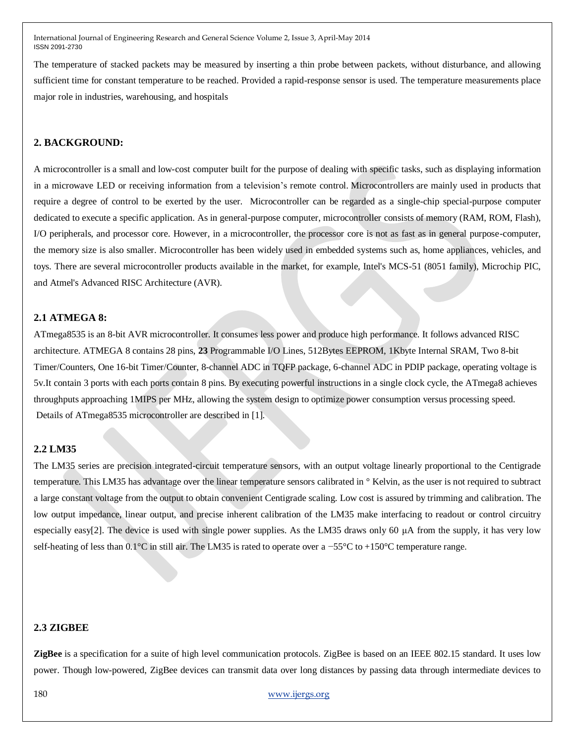The temperature of stacked packets may be measured by inserting a thin probe between packets, without disturbance, and allowing sufficient time for constant temperature to be reached. Provided a rapid-response sensor is used. The temperature measurements place major role in industries, warehousing, and hospitals

# **2. BACKGROUND:**

A microcontroller is a small and low-cost computer built for the purpose of dealing with specific tasks, such as displaying information in a microwave LED or receiving information from a television's remote control. Microcontrollers are mainly used in products that require a degree of control to be exerted by the user. Microcontroller can be regarded as a single-chip special-purpose computer dedicated to execute a specific application. As in general-purpose computer, microcontroller consists of memory (RAM, ROM, Flash), I/O peripherals, and processor core. However, in a microcontroller, the processor core is not as fast as in general purpose-computer, the memory size is also smaller. Microcontroller has been widely used in embedded systems such as, home appliances, vehicles, and toys. There are several microcontroller products available in the market, for example, Intel's MCS-51 (8051 family), Microchip PIC, and Atmel's Advanced RISC Architecture (AVR).

#### **2.1 ATMEGA 8:**

ATmega8535 is an 8-bit AVR microcontroller. It consumes less power and produce high performance. It follows advanced RISC architecture. ATMEGA 8 contains 28 pins, **23** Programmable I/O Lines, 512Bytes EEPROM, 1Kbyte Internal SRAM, Two 8-bit Timer/Counters, One 16-bit Timer/Counter, 8-channel ADC in TQFP package, 6-channel ADC in PDIP package, operating voltage is 5v.It contain 3 ports with each ports contain 8 pins. By executing powerful instructions in a single clock cycle, the ATmega8 achieves throughputs approaching 1MIPS per MHz, allowing the system design to optimize power consumption versus processing speed. Details of ATmega8535 microcontroller are described in [1].

#### **2.2 LM35**

The LM35 series are precision integrated-circuit temperature sensors, with an output voltage linearly proportional to the Centigrade temperature. This LM35 has advantage over the linear temperature sensors calibrated in ° Kelvin, as the user is not required to subtract a large constant voltage from the output to obtain convenient Centigrade scaling. Low cost is assured by trimming and calibration. The low output impedance, linear output, and precise inherent calibration of the LM35 make interfacing to readout or control circuitry especially easy[2]. The device is used with single power supplies. As the LM35 draws only 60 μA from the supply, it has very low self-heating of less than 0.1°C in still air. The LM35 is rated to operate over a −55°C to +150°C temperature range.

#### **2.3 ZIGBEE**

**ZigBee** is a specification for a suite of high level communication protocols. ZigBee is based on an IEEE 802.15 standard. It uses low power. Though low-powered, ZigBee devices can transmit data over long distances by passing data through intermediate devices to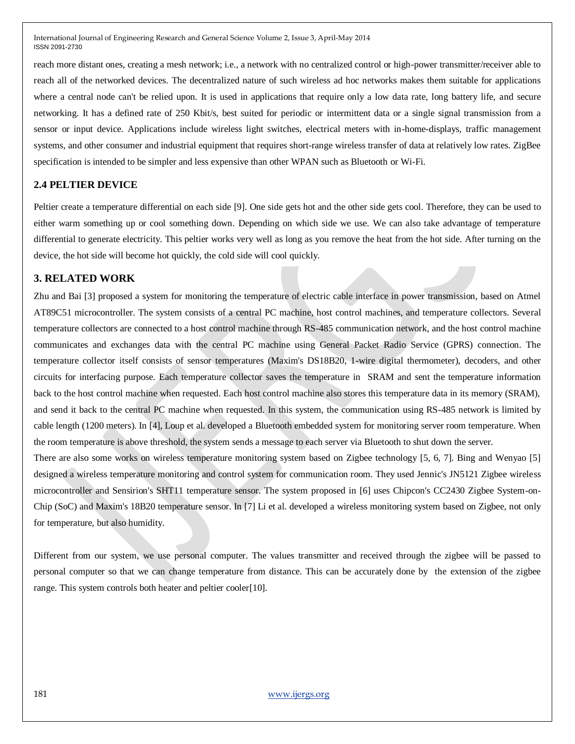reach more distant ones, creating a mesh network; i.e., a network with no centralized control or high-power transmitter/receiver able to reach all of the networked devices. The decentralized nature of such wireless ad hoc networks makes them suitable for applications where a central node can't be relied upon. It is used in applications that require only a low data rate, long battery life, and secure networking. It has a defined rate of 250 Kbit/s, best suited for periodic or intermittent data or a single signal transmission from a sensor or input device. Applications include wireless light switches, electrical meters with in-home-displays, traffic management systems, and other consumer and industrial equipment that requires short-range wireless transfer of data at relatively low rates. ZigBee specification is intended to be simpler and less expensive than other WPAN such as Bluetooth or Wi-Fi.

#### **2.4 PELTIER DEVICE**

Peltier create a temperature differential on each side [9]. One side gets hot and the other side gets cool. Therefore, they can be used to either warm something up or cool something down. Depending on which side we use. We can also take advantage of temperature differential to generate electricity. This peltier works very well as long as you remove the heat from the hot side. After turning on the device, the hot side will become hot quickly, the cold side will cool quickly.

# **3. RELATED WORK**

Zhu and Bai [3] proposed a system for monitoring the temperature of electric cable interface in power transmission, based on Atmel AT89C51 microcontroller. The system consists of a central PC machine, host control machines, and temperature collectors. Several temperature collectors are connected to a host control machine through RS-485 communication network, and the host control machine communicates and exchanges data with the central PC machine using General Packet Radio Service (GPRS) connection. The temperature collector itself consists of sensor temperatures (Maxim's DS18B20, 1-wire digital thermometer), decoders, and other circuits for interfacing purpose. Each temperature collector saves the temperature in SRAM and sent the temperature information back to the host control machine when requested. Each host control machine also stores this temperature data in its memory (SRAM), and send it back to the central PC machine when requested. In this system, the communication using RS-485 network is limited by cable length (1200 meters). In [4], Loup et al. developed a Bluetooth embedded system for monitoring server room temperature. When the room temperature is above threshold, the system sends a message to each server via Bluetooth to shut down the server.

There are also some works on wireless temperature monitoring system based on Zigbee technology [5, 6, 7]. Bing and Wenyao [5] designed a wireless temperature monitoring and control system for communication room. They used Jennic's JN5121 Zigbee wireless microcontroller and Sensirion's SHT11 temperature sensor. The system proposed in [6] uses Chipcon's CC2430 Zigbee System-on-Chip (SoC) and Maxim's 18B20 temperature sensor. In [7] Li et al. developed a wireless monitoring system based on Zigbee, not only for temperature, but also humidity.

Different from our system, we use personal computer. The values transmitter and received through the zigbee will be passed to personal computer so that we can change temperature from distance. This can be accurately done by the extension of the zigbee range. This system controls both heater and peltier cooler[10].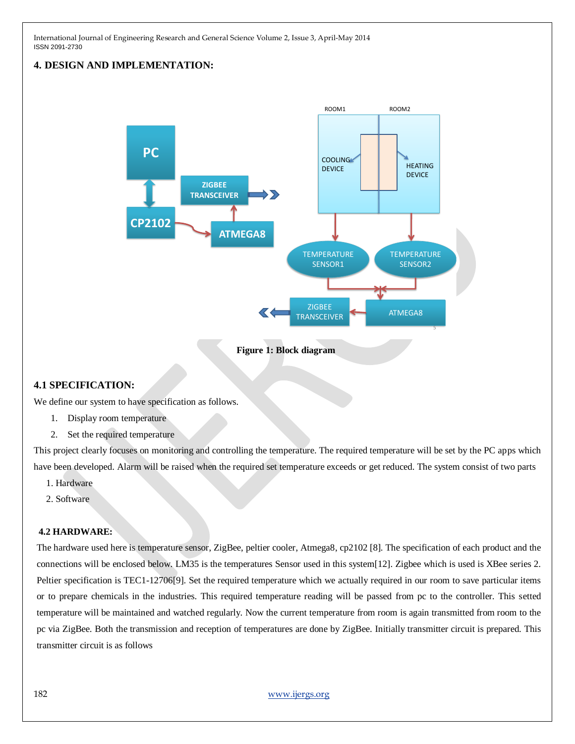# **4. DESIGN AND IMPLEMENTATION:**



**Figure 1: Block diagram**

# **4.1 SPECIFICATION:**

We define our system to have specification as follows.

- 1. Display room temperature
- 2. Set the required temperature

This project clearly focuses on monitoring and controlling the temperature. The required temperature will be set by the PC apps which have been developed. Alarm will be raised when the required set temperature exceeds or get reduced. The system consist of two parts

- 1. Hardware
- 2. Software

#### **4.2 HARDWARE:**

The hardware used here is temperature sensor, ZigBee, peltier cooler, Atmega8, cp2102 [8]. The specification of each product and the connections will be enclosed below. LM35 is the temperatures Sensor used in this system[12]. Zigbee which is used is XBee series 2. Peltier specification is TEC1-12706[9]. Set the required temperature which we actually required in our room to save particular items or to prepare chemicals in the industries. This required temperature reading will be passed from pc to the controller. This setted temperature will be maintained and watched regularly. Now the current temperature from room is again transmitted from room to the pc via ZigBee. Both the transmission and reception of temperatures are done by ZigBee. Initially transmitter circuit is prepared. This transmitter circuit is as follows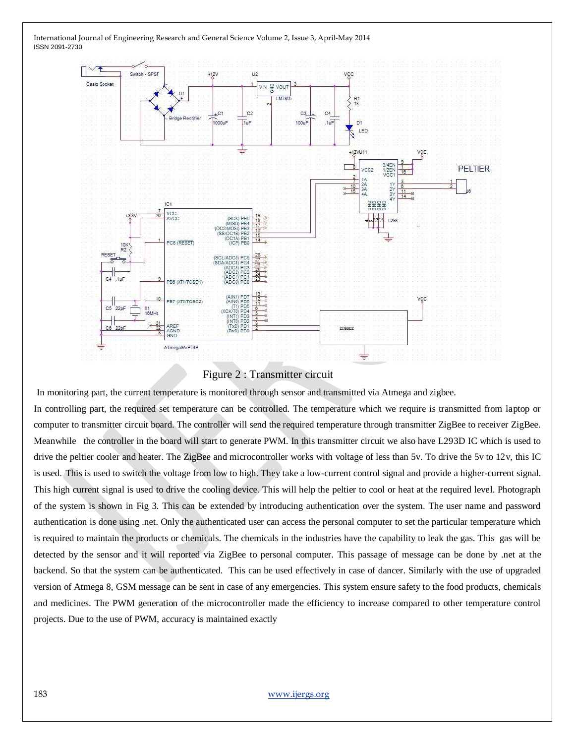

#### Figure 2 : Transmitter circuit

In monitoring part, the current temperature is monitored through sensor and transmitted via Atmega and zigbee.

In controlling part, the required set temperature can be controlled. The temperature which we require is transmitted from laptop or computer to transmitter circuit board. The controller will send the required temperature through transmitter ZigBee to receiver ZigBee. Meanwhile the controller in the board will start to generate PWM. In this transmitter circuit we also have L293D IC which is used to drive the peltier cooler and heater. The ZigBee and microcontroller works with voltage of less than 5v. To drive the 5v to 12v, this IC is used. This is used to switch the voltage from low to high. They take a low-current control signal and provide a higher-current signal. This high current signal is used to drive the cooling device. This will help the peltier to cool or heat at the required level. Photograph of the system is shown in Fig 3. This can be extended by introducing authentication over the system. The user name and password authentication is done using .net. Only the authenticated user can access the personal computer to set the particular temperature which is required to maintain the products or chemicals. The chemicals in the industries have the capability to leak the gas. This gas will be detected by the sensor and it will reported via ZigBee to personal computer. This passage of message can be done by .net at the backend. So that the system can be authenticated. This can be used effectively in case of dancer. Similarly with the use of upgraded version of Atmega 8, GSM message can be sent in case of any emergencies. This system ensure safety to the food products, chemicals and medicines. The PWM generation of the microcontroller made the efficiency to increase compared to other temperature control projects. Due to the use of PWM, accuracy is maintained exactly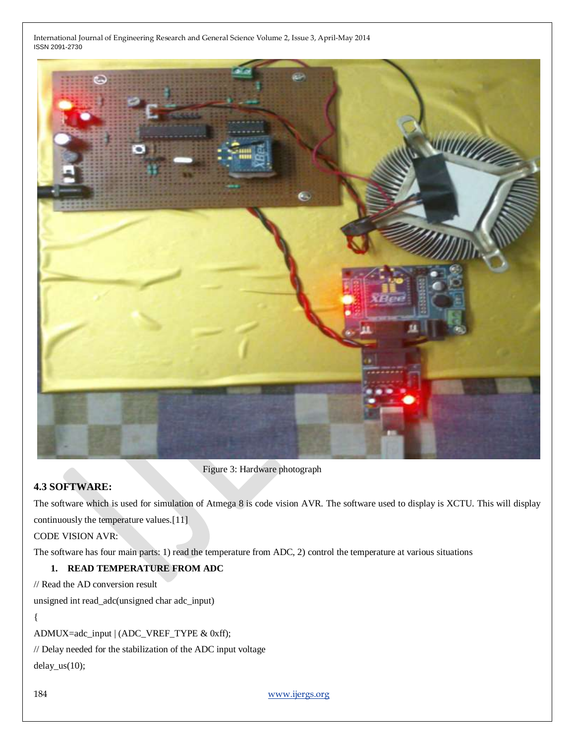

Figure 3: Hardware photograph

# **4.3 SOFTWARE:**

The software which is used for simulation of Atmega 8 is code vision AVR. The software used to display is XCTU. This will display continuously the temperature values.[11]

CODE VISION AVR:

The software has four main parts: 1) read the temperature from ADC, 2) control the temperature at various situations

# **1. READ TEMPERATURE FROM ADC**

// Read the AD conversion result

unsigned int read\_adc(unsigned char adc\_input)

#### {

ADMUX=adc\_input | (ADC\_VREF\_TYPE & 0xff);

// Delay needed for the stabilization of the ADC input voltage

delay\_us(10);

184 [www.ijergs.org](http://www.ijergs.org/)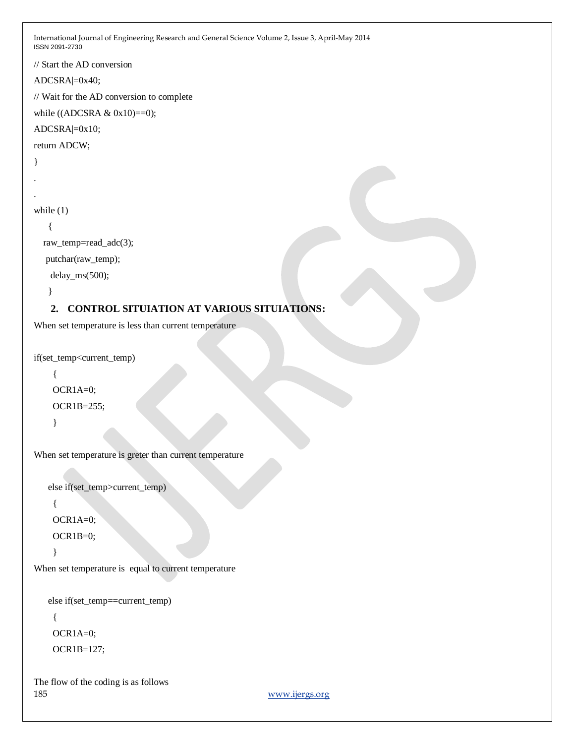```
International Journal of Engineering Research and General Science Volume 2, Issue 3, April-May 2014 
ISSN 2091-2730
// Start the AD conversion
ADCSRA|=0x40;
// Wait for the AD conversion to complete
while ((ADCSRA & 0x10)=0);
ADCSRA|=0x10;
return ADCW;
}
.
.
while (1) {
   raw_temp=read_adc(3);
   putchar(raw_temp);
     delay_ms(500);
    }
    2. CONTROL SITUIATION AT VARIOUS SITUIATIONS:
When set temperature is less than current temperature
if(set_temp<current_temp)
      {
     OCR1A=0;
     OCR1B=255;
      } 
When set temperature is greter than current temperature
    else if(set_temp>current_temp)
      {
     OCR1A=0;
     OCR1B=0;
      }
```
When set temperature is equal to current temperature

```
 else if(set_temp==current_temp)
```
 { OCR1A=0; OCR1B=127;

185 [www.ijergs.org](http://www.ijergs.org/) The flow of the coding is as follows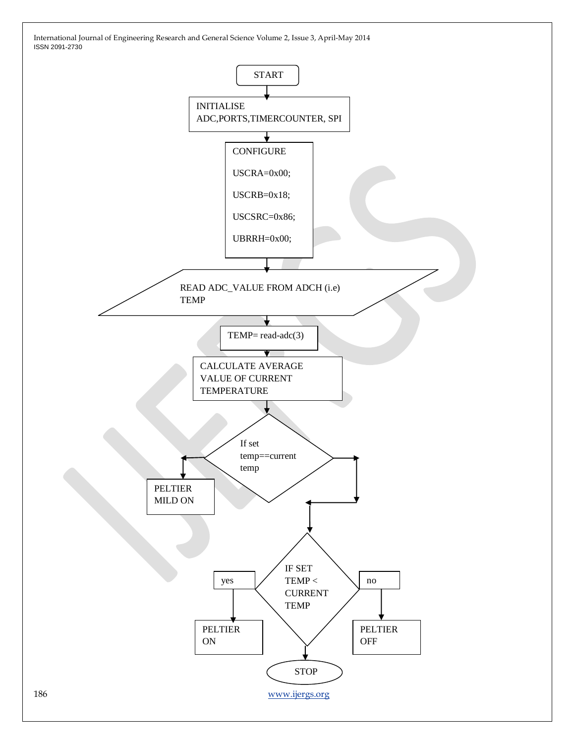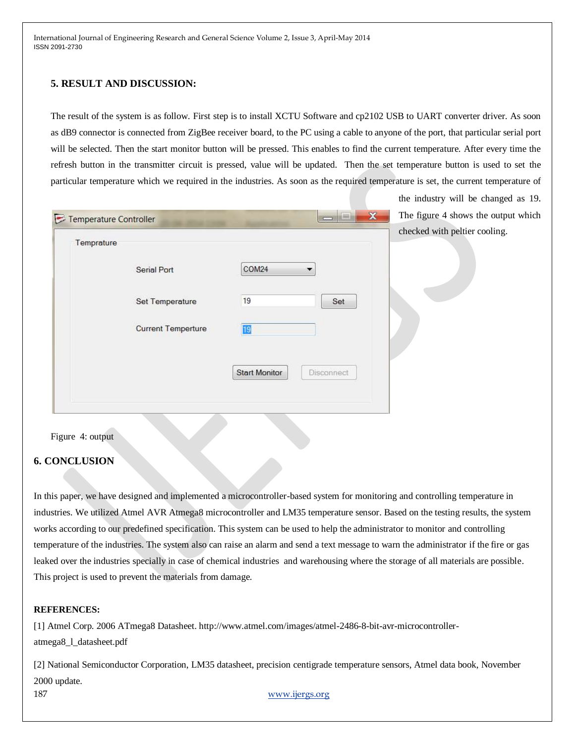# **5. RESULT AND DISCUSSION:**

The result of the system is as follow. First step is to install XCTU Software and cp2102 USB to UART converter driver. As soon as dB9 connector is connected from ZigBee receiver board, to the PC using a cable to anyone of the port, that particular serial port will be selected. Then the start monitor button will be pressed. This enables to find the current temperature. After every time the refresh button in the transmitter circuit is pressed, value will be updated. Then the set temperature button is used to set the particular temperature which we required in the industries. As soon as the required temperature is set, the current temperature of

the industry will be changed as 19.

| Temprature | Temperature Controller    |                                    | checked with peltier cooling. |
|------------|---------------------------|------------------------------------|-------------------------------|
|            | <b>Serial Port</b>        | COM24                              |                               |
|            | Set Temperature           | 19<br>Set                          |                               |
|            | <b>Current Temperture</b> | 19                                 |                               |
|            |                           | <b>Start Monitor</b><br>Disconnect |                               |

Figure 4: output

# **6. CONCLUSION**

In this paper, we have designed and implemented a microcontroller-based system for monitoring and controlling temperature in industries. We utilized Atmel AVR Atmega8 microcontroller and LM35 temperature sensor. Based on the testing results, the system works according to our predefined specification. This system can be used to help the administrator to monitor and controlling temperature of the industries. The system also can raise an alarm and send a text message to warn the administrator if the fire or gas leaked over the industries specially in case of chemical industries and warehousing where the storage of all materials are possible. This project is used to prevent the materials from damage.

#### **REFERENCES:**

[1] Atmel Corp. 2006 ATmega8 Datasheet. http://www.atmel.com/images/atmel-2486-8-bit-avr-microcontrolleratmega8\_l\_datasheet.pdf

[2] National Semiconductor Corporation, LM35 datasheet, precision centigrade temperature sensors, Atmel data book, November 2000 update.

187 [www.ijergs.org](http://www.ijergs.org/)